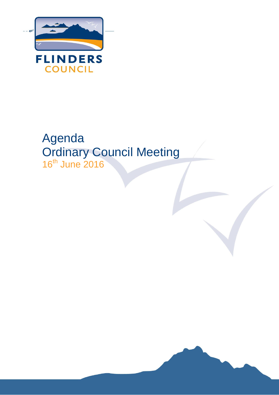

# Agenda Ordinary Council Meeting 16<sup>th</sup> June 2016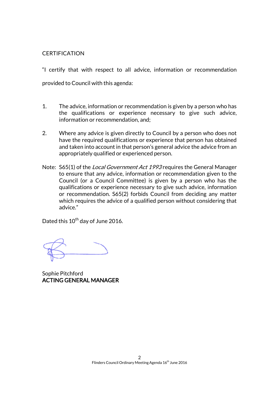### **CERTIFICATION**

"I certify that with respect to all advice, information or recommendation provided to Council with this agenda:

- 1. The advice, information or recommendation is given by a person who has the qualifications or experience necessary to give such advice, information or recommendation, and;
- 2. Where any advice is given directly to Council by a person who does not have the required qualifications or experience that person has obtained and taken into account in that person's general advice the advice from an appropriately qualified or experienced person.
- Note: S65(1) of the *Local Government Act 1993* requires the General Manager to ensure that any advice, information or recommendation given to the Council (or a Council Committee) is given by a person who has the qualifications or experience necessary to give such advice, information or recommendation. S65(2) forbids Council from deciding any matter which requires the advice of a qualified person without considering that advice."

Dated this 10<sup>th</sup> day of June 2016.

Sophie Pitchford ACTING GENERAL MANAGER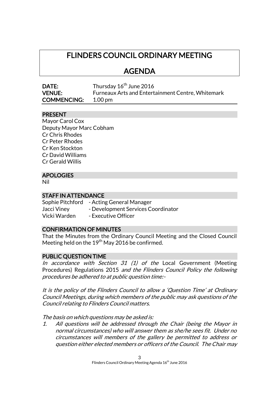# FLINDERS COUNCIL ORDINARY MEETING

### AGENDA

| <b>DATE:</b>       | Thursday 16 <sup>th</sup> June 2016               |
|--------------------|---------------------------------------------------|
| <b>VENUE:</b>      | Furneaux Arts and Entertainment Centre, Whitemark |
| <b>COMMENCING:</b> | 1.00 pm                                           |

### PRESENT

| Mayor Carol Cox          |
|--------------------------|
| Deputy Mayor Marc Cobham |
| Cr Chris Rhodes          |
| Cr Peter Rhodes          |
| Cr Ken Stockton          |
| Cr David Williams        |
| Cr Gerald Willis         |
|                          |

### APOLOGIES

Nil

### STAFF IN ATTENDANCE

Sophie Pitchford - Acting General Manager Jacci Viney - Development Services Coordinator<br>Vicki Warden - Executive Officer - Executive Officer

### CONFIRMATION OF MINUTES

That the Minutes from the Ordinary Council Meeting and the Closed Council Meeting held on the 19<sup>th</sup> May 2016 be confirmed.

### PUBLIC QUESTION TIME

In accordance with Section 31  $(1)$  of the Local Government (Meeting Procedures) Regulations 2015 and the Flinders Council Policy the following procedures be adhered to at public question time:-

It is the policy of the Flinders Council to allow a 'Question Time' at Ordinary Council Meetings, during which members of the public may ask questions of the Council relating to Flinders Council matters.

The basis on which questions may be asked is:

1. All questions will be addressed through the Chair (being the Mayor in normal circumstances) who will answer them as she/he sees fit. Under no circumstances will members of the gallery be permitted to address or question either elected members or officers of the Council. The Chair may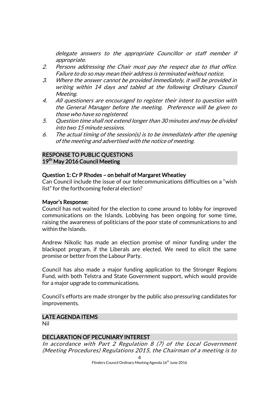delegate answers to the appropriate Councillor or staff member if appropriate.

- 2. Persons addressing the Chair must pay the respect due to that office. Failure to do so may mean their address is terminated without notice.
- 3. Where the answer cannot be provided immediately, it will be provided in writing within 14 days and tabled at the following Ordinary Council Meeting.
- 4. All questioners are encouraged to register their intent to question with the General Manager before the meeting. Preference will be given to those who have so registered.
- 5. Question time shall not extend longer than 30 minutes and may be divided into two 15 minute sessions.
- 6. The actual timing of the session(s) is to be immediately after the opening of the meeting and advertised with the notice of meeting.

### RESPONSE TO PUBLIC QUESTIONS 19<sup>th</sup> May 2016 Council Meeting

### Question 1: Cr P Rhodes – on behalf of Margaret Wheatley

Can Council include the issue of our telecommunications difficulties on a "wish list" for the forthcoming federal election?

### Mayor's Response:

Council has not waited for the election to come around to lobby for improved communications on the Islands. Lobbying has been ongoing for some time, raising the awareness of politicians of the poor state of communications to and within the Islands.

Andrew Nikolic has made an election promise of minor funding under the blackspot program, if the Liberals are elected. We need to elicit the same promise or better from the Labour Party.

Council has also made a major funding application to the Stronger Regions Fund, with both Telstra and State Government support, which would provide for a major upgrade to communications.

Council's efforts are made stronger by the public also pressuring candidates for improvements.

### LATE AGENDA ITEMS

Nil

### DECLARATION OF PECUNIARY INTEREST

In accordance with Part 2 Regulation 8 (7) of the Local Government (Meeting Procedures) Regulations 2015, the Chairman of a meeting is to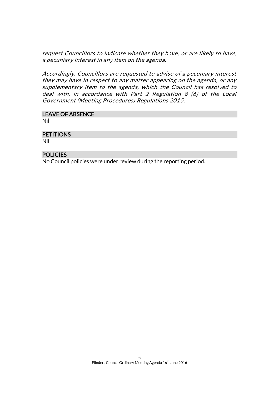request Councillors to indicate whether they have, or are likely to have, a pecuniary interest in any item on the agenda.

Accordingly, Councillors are requested to advise of a pecuniary interest they may have in respect to any matter appearing on the agenda, or any supplementary item to the agenda, which the Council has resolved to deal with, in accordance with Part 2 Regulation 8 (6) of the Local Government (Meeting Procedures) Regulations 2015.

# LEAVE OF ABSENCE

Nil

### **PETITIONS**

Nil

### **POLICIES**

No Council policies were under review during the reporting period.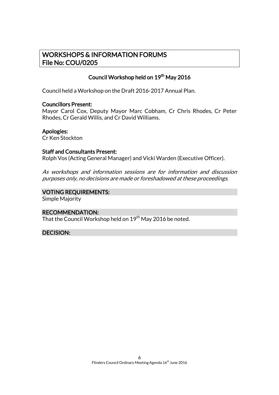### WORKSHOPS & INFORMATION FORUMS File No: COU/0205

### Council Workshop held on 19<sup>th</sup> May 2016

Council held a Workshop on the Draft 2016-2017 Annual Plan.

### Councillors Present:

Mayor Carol Cox, Deputy Mayor Marc Cobham, Cr Chris Rhodes, Cr Peter Rhodes, Cr Gerald Willis, and Cr David Williams.

Apologies:

Cr Ken Stockton

### Staff and Consultants Present:

Rolph Vos (Acting General Manager) and Vicki Warden (Executive Officer).

As workshops and information sessions are for information and discussion purposes only, no decisions are made or foreshadowed at these proceedings.

### VOTING REQUIREMENTS:

Simple Majority

### RECOMMENDATION:

That the Council Workshop held on 19<sup>th</sup> May 2016 be noted.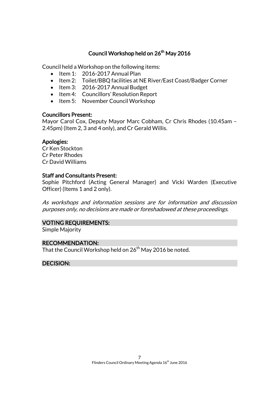### Council Workshop held on 26<sup>th</sup> May 2016

Council held a Workshop on the following items:

- $\bullet$  Item 1: 2016-2017 Annual Plan
- Item 2: Toilet/BBQ facilities at NE River/East Coast/Badger Corner
- Item 3: 2016-2017 Annual Budget
- Item 4: Councillors' Resolution Report
- Item 5: November Council Workshop

### Councillors Present:

Mayor Carol Cox, Deputy Mayor Marc Cobham, Cr Chris Rhodes (10.45am – 2.45pm) (Item 2, 3 and 4 only), and Cr Gerald Willis.

### Apologies:

Cr Ken Stockton Cr Peter Rhodes Cr David Williams

### Staff and Consultants Present:

Sophie Pitchford (Acting General Manager) and Vicki Warden (Executive Officer) (Items 1 and 2 only).

As workshops and information sessions are for information and discussion purposes only, no decisions are made or foreshadowed at these proceedings.

### VOTING REQUIREMENTS:

Simple Majority

### RECOMMENDATION:

That the Council Workshop held on  $26<sup>th</sup>$  May 2016 be noted.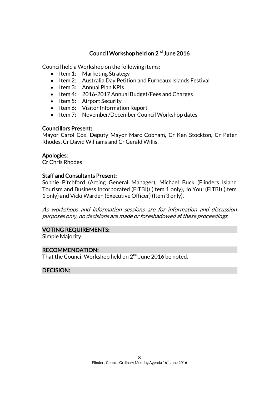### Council Workshop held on 2<sup>nd</sup> June 2016

Council held a Workshop on the following items:

- Item 1: Marketing Strategy
- Item 2: Australia Day Petition and Furneaux Islands Festival
- $\bullet$  Item 3: Annual Plan KPIs
- Item 4: 2016-2017 Annual Budget/Fees and Charges
- $\bullet$  Item 5: Airport Security
- Item 6: Visitor Information Report
- Item 7: November/December Council Workshop dates

### Councillors Present:

Mayor Carol Cox, Deputy Mayor Marc Cobham, Cr Ken Stockton, Cr Peter Rhodes, Cr David Williams and Cr Gerald Willis.

### Apologies:

Cr Chris Rhodes

### Staff and Consultants Present:

Sophie Pitchford (Acting General Manager), Michael Buck (Flinders Island Tourism and Business Incorporated (FITBI)) (Item 1 only), Jo Youl (FITBI) (Item 1 only) and Vicki Warden (Executive Officer) (Item 3 only).

As workshops and information sessions are for information and discussion purposes only, no decisions are made or foreshadowed at these proceedings.

### VOTING REQUIREMENTS:

Simple Majority

### RECOMMENDATION:

That the Council Workshop held on 2<sup>nd</sup> June 2016 be noted.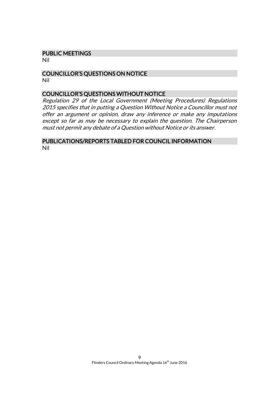#### PUBLIC MEETINGS

Nil

#### COUNCILLOR'S QUESTIONS ON NOTICE Nil

### COUNCILLOR'S QUESTIONS WITHOUT NOTICE

Regulation 29 of the Local Government (Meeting Procedures) Regulations 2015 specifies that in putting a Question Without Notice a Councillor must not offer an argument or opinion, draw any inference or make any imputations except so far as may be necessary to explain the question. The Chairperson must not permit any debate of a Question without Notice or its answer.

### PUBLICATIONS/REPORTS TABLED FOR COUNCIL INFORMATION Nil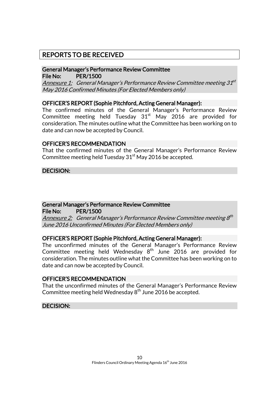### REPORTS TO BE RECEIVED

### General Manager's Performance Review Committee File No: PER/1500

<u>Annexure 1:</u> General Manager's Performance Review Committee meeting 31<sup>st</sup> May 2016 Confirmed Minutes (For Elected Members only)

### OFFICER'S REPORT (Sophie Pitchford, Acting General Manager):

The confirmed minutes of the General Manager's Performance Review Committee meeting held Tuesday  $31<sup>st</sup>$  May 2016 are provided for consideration. The minutes outline what the Committee has been working on to date and can now be accepted by Council.

### OFFICER'S RECOMMENDATION

That the confirmed minutes of the General Manager's Performance Review Committee meeting held Tuesday  $31<sup>st</sup>$  May 2016 be accepted.

DECISION:

### General Manager's Performance Review Committee

File No: PER/1500

<u>Annexure 2:</u> General Manager's Performance Review Committee meeting 8<sup>th</sup> June 2016 Unconfirmed Minutes (For Elected Members only)

### OFFICER'S REPORT (Sophie Pitchford, Acting General Manager):

The unconfirmed minutes of the General Manager's Performance Review Committee meeting held Wednesday  $8^{\text{th}}$  June 2016 are provided for consideration. The minutes outline what the Committee has been working on to date and can now be accepted by Council.

### OFFICER'S RECOMMENDATION

That the unconfirmed minutes of the General Manager's Performance Review Committee meeting held Wednesday  $8^{\rm th}$  June 2016 be accepted.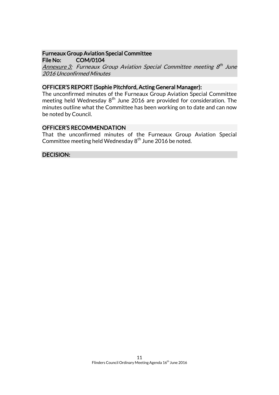### Furneaux Group Aviation Special Committee File No: COM/0104

Annexure 3: Furneaux Group Aviation Special Committee meeting 8<sup>th</sup> June 2016 Unconfirmed Minutes

### OFFICER'S REPORT (Sophie Pitchford, Acting General Manager):

The unconfirmed minutes of the Furneaux Group Aviation Special Committee meeting held Wednesday  $8<sup>th</sup>$  June 2016 are provided for consideration. The minutes outline what the Committee has been working on to date and can now be noted by Council.

### OFFICER'S RECOMMENDATION

That the unconfirmed minutes of the Furneaux Group Aviation Special Committee meeting held Wednesday  $8<sup>th</sup>$  June 2016 be noted.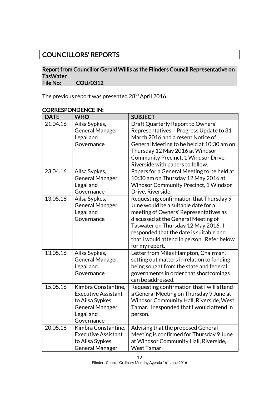# COUNCILLORS' REPORTS

### Report from Councillor Gerald Willis as the Flinders Council Representative on TasWater<br>File No: COU/0312

The previous report was presented 28<sup>th</sup> April 2016.

| <b>DATE</b> | <b>WHO</b>                                                                                                                 | <b>SUBJECT</b>                                                                                                                                                                                                                                                                                                   |
|-------------|----------------------------------------------------------------------------------------------------------------------------|------------------------------------------------------------------------------------------------------------------------------------------------------------------------------------------------------------------------------------------------------------------------------------------------------------------|
| 21.04.16    | Ailsa Sypkes,<br><b>General Manager</b><br>Legal and<br>Governance                                                         | Draft Quarterly Report to Owners'<br>Representatives - Progress Update to 31<br>March 2016 and a resent Notice of<br>General Meeting to be held at 10:30 am on<br>Thursday 12 May 2016 at Windsor<br>Community Precinct, 1 Windsor Drive,<br>Riverside with papers to follow.                                    |
| 23.04.16    | Ailsa Sypkes,<br><b>General Manager</b><br>Legal and<br>Governance                                                         | Papers for a General Meeting to be held at<br>10:30 am on Thursday 12 May 2016 at<br><b>Windsor Community Precinct, 1 Windsor</b><br>Drive, Riverside.                                                                                                                                                           |
| 13.05.16    | Ailsa Sypkes,<br><b>General Manager</b><br>Legal and<br>Governance                                                         | Requesting confirmation that Thursday 9<br>June would be a suitable date for a<br>meeting of Owners' Representatives as<br>discussed at the General Meeting of<br>Taswater on Thursday 12 May 2016. I<br>responded that the date is suitable and<br>that I would attend in person. Refer below<br>for my report. |
| 13.05.16    | Ailsa Sypkes,<br><b>General Manager</b><br>Legal and<br>Governance                                                         | Letter from Miles Hampton, Chairman,<br>setting out matters in relation to funding<br>being sought from the state and federal<br>governments in order that shortcomings<br>can be addressed.                                                                                                                     |
| 15.05.16    | Kimbra Constantine,<br><b>Executive Assistant</b><br>to Ailsa Sypkes,<br><b>General Manager</b><br>Legal and<br>Governance | Requesting confirmation that I will attend<br>a General Meeting on Thursday 9 June at<br>Windsor Community Hall, Riverside, West<br>Tamar. I responded that I would attend in<br>person.                                                                                                                         |
| 20.05.16    | Kimbra Constantine,<br><b>Executive Assistant</b><br>to Ailsa Sypkes,<br><b>General Manager</b>                            | Advising that the proposed General<br>Meeting is confirmed for Thursday 9 June<br>at Windsor Community Hall, Riverside,<br>West Tamar.                                                                                                                                                                           |

### CORRESPONDENCE IN: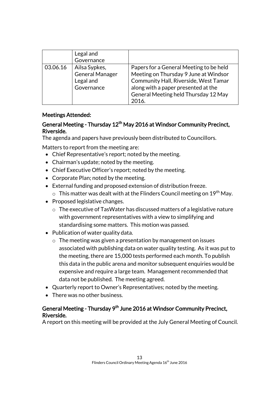|          | Legal and<br>Governance                                            |                                                                                                                                                                                                                   |
|----------|--------------------------------------------------------------------|-------------------------------------------------------------------------------------------------------------------------------------------------------------------------------------------------------------------|
| 03.06.16 | Ailsa Sypkes,<br><b>General Manager</b><br>Legal and<br>Governance | Papers for a General Meeting to be held<br>Meeting on Thursday 9 June at Windsor<br>Community Hall, Riverside, West Tamar<br>along with a paper presented at the<br>General Meeting held Thursday 12 May<br>2016. |

### Meetings Attended:

### General Meeting - Thursday 12<sup>th</sup> May 2016 at Windsor Community Precinct, Riverside.

The agenda and papers have previously been distributed to Councillors.

Matters to report from the meeting are:

- Chief Representative's report; noted by the meeting.
- Chairman's update; noted by the meeting.
- Chief Executive Officer's report; noted by the meeting.
- Corporate Plan; noted by the meeting.
- External funding and proposed extension of distribution freeze.
	- $\circ$  This matter was dealt with at the Flinders Council meeting on 19<sup>th</sup> May.
- Proposed legislative changes.
	- o The executive of TasWater has discussed matters of a legislative nature with government representatives with a view to simplifying and standardising some matters. This motion was passed.
- Publication of water quality data.
	- o The meeting was given a presentation by management on issues associated with publishing data on water quality testing. As it was put to the meeting, there are 15,000 tests performed each month. To publish this data in the public arena and monitor subsequent enquiries would be expensive and require a large team. Management recommended that data not be published. The meeting agreed.
- Quarterly report to Owner's Representatives; noted by the meeting.
- There was no other business.

### General Meeting - Thursday 9<sup>th</sup> June 2016 at Windsor Community Precinct, Riverside.

A report on this meeting will be provided at the July General Meeting of Council.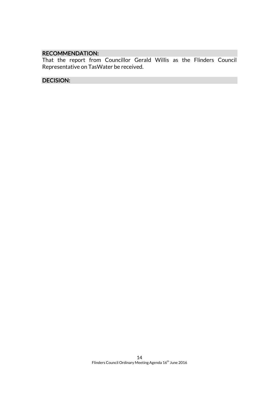### RECOMMENDATION:

That the report from Councillor Gerald Willis as the Flinders Council Representative on TasWater be received.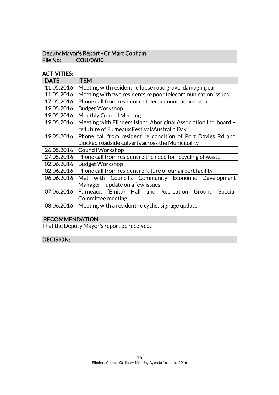### Deputy Mayor's Report - Cr Marc Cobham File No: COU/0600

### ACTIVITIES:

| <b>DATE</b> | <b>ITEM</b>                                                      |
|-------------|------------------------------------------------------------------|
| 11.05.2016  | Meeting with resident re loose road gravel damaging car          |
| 11.05.2016  | Meeting with two residents re poor telecommunication issues      |
| 17.05.2016  | Phone call from resident re telecommunications issue             |
| 19.05.2016  | <b>Budget Workshop</b>                                           |
| 19.05.2016  | <b>Monthly Council Meeting</b>                                   |
| 19.05.2016  | Meeting with Flinders Island Aboriginal Association Inc. board - |
|             | re future of Furneaux Festival/Australia Day                     |
| 19.05.2016  | Phone call from resident re condition of Port Davies Rd and      |
|             | blocked roadside culverts across the Municipality                |
| 26.05.2016  | <b>Council Workshop</b>                                          |
| 27.05.2016  | Phone call from resident re the need for recycling of waste      |
| 02.06.2016  | <b>Budget Workshop</b>                                           |
| 02.06.2016  | Phone call from resident re future of our airport facility       |
| 06.06.2016  | Met with Council's Community Economic Development                |
|             | Manager - update on a few issues                                 |
| 07.06.2016  | Furneaux (Emita) Hall and Recreation Ground<br>Special           |
|             | Committee meeting                                                |
| 08.06.2016  | Meeting with a resident re cyclist signage update                |

### RECOMMENDATION:

That the Deputy Mayor's report be received.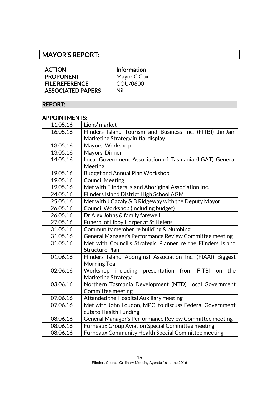# MAYOR'S REPORT:

| <b>ACTION</b>            | <b>Information</b> |
|--------------------------|--------------------|
| <b>PROPONENT</b>         | Mayor C Cox        |
| <b>FILE REFERENCE</b>    | COU/0600           |
| <b>ASSOCIATED PAPERS</b> | Nil                |

### REPORT:

### APPOINTMENTS:

| 11.05.16 | Lions' market                                               |
|----------|-------------------------------------------------------------|
| 16.05.16 | Flinders Island Tourism and Business Inc. (FITBI) JimJam    |
|          | Marketing Strategy initial display                          |
| 13.05.16 | Mayors' Workshop                                            |
| 13.05.16 | Mayors' Dinner                                              |
| 14.05.16 | Local Government Association of Tasmania (LGAT) General     |
|          | Meeting                                                     |
| 19.05.16 | <b>Budget and Annual Plan Workshop</b>                      |
| 19.05.16 | <b>Council Meeting</b>                                      |
| 19.05.16 | Met with Flinders Island Aboriginal Association Inc.        |
| 24.05.16 | Flinders Island District High School AGM                    |
| 25.05.16 | Met with J Cazaly & B Ridgeway with the Deputy Mayor        |
| 26.05.16 | Council Workshop (including budget)                         |
| 26.05.16 | Dr Alex Johns & family farewell                             |
| 27.05.16 | Funeral of Libby Harper at St Helens                        |
| 31.05.16 | Community member re building & plumbing                     |
| 31.05.16 | General Manager's Performance Review Committee meeting      |
| 31.05.16 | Met with Council's Strategic Planner re the Flinders Island |
|          | <b>Structure Plan</b>                                       |
| 01.06.16 | Flinders Island Aboriginal Association Inc. (FIAAI) Biggest |
|          | Morning Tea                                                 |
| 02.06.16 | Workshop including presentation from FITBI on<br>the        |
|          | <b>Marketing Strategy</b>                                   |
| 03.06.16 | Northern Tasmania Development (NTD) Local Government        |
|          | Committee meeting                                           |
| 07.06.16 | Attended the Hospital Auxiliary meeting                     |
| 07.06.16 | Met with John Loudon, MPC, to discuss Federal Government    |
|          | cuts to Health Funding                                      |
| 08.06.16 | General Manager's Performance Review Committee meeting      |
| 08.06.16 | Furneaux Group Aviation Special Committee meeting           |
| 08.06.16 | Furneaux Community Health Special Committee meeting         |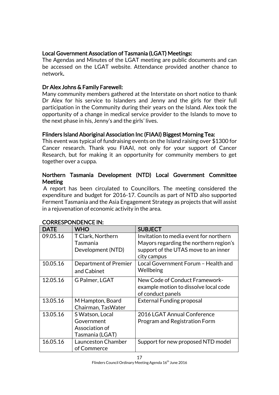### Local Government Association of Tasmania (LGAT) Meetings:

The Agendas and Minutes of the LGAT meeting are public documents and can be accessed on the LGAT website. Attendance provided another chance to network.

### Dr Alex Johns & Family Farewell:

Many community members gathered at the Interstate on short notice to thank Dr Alex for his service to Islanders and Jenny and the girls for their full participation in the Community during their years on the Island. Alex took the opportunity of a change in medical service provider to the Islands to move to the next phase in his, Jenny's and the girls' lives.

### Flinders Island Aboriginal Association Inc (FIAAI) Biggest Morning Tea:

This event was typical of fundraising events on the Island raising over \$1300 for Cancer research. Thank you FIAAI, not only for your support of Cancer Research, but for making it an opportunity for community members to get together over a cuppa.

### Northern Tasmania Development (NTD) Local Government Committee **Meeting**

A report has been circulated to Councillors. The meeting considered the expenditure and budget for 2016-17. Councils as part of NTD also supported Ferment Tasmania and the Asia Engagement Strategy as projects that will assist in a rejuvenation of economic activity in the area.

| <b>DATE</b> | <b>WHO</b>            | <b>SUBJECT</b>                         |
|-------------|-----------------------|----------------------------------------|
| 09.05.16    | T Clark, Northern     | Invitation to media event for northern |
|             | Tasmania              | Mayors regarding the northern region's |
|             | Development (NTD)     | support of the UTAS move to an inner   |
|             |                       | city campus                            |
| 10.05.16    | Department of Premier | Local Government Forum - Health and    |
|             | and Cabinet           | Wellbeing                              |
| 12.05.16    | G Palmer, LGAT        | New Code of Conduct Framework-         |
|             |                       | example motion to dissolve local code  |
|             |                       | of conduct panels                      |
| 13.05.16    | M Hampton, Board      | <b>External Funding proposal</b>       |
|             | Chairman, TasWater    |                                        |
| 13.05.16    | S Watson, Local       | 2016 LGAT Annual Conference            |
|             | Government            | Program and Registration Form          |
|             | Association of        |                                        |
|             | Tasmania (LGAT)       |                                        |
| 16.05.16    | Launceston Chamber    | Support for new proposed NTD model     |
|             | of Commerce           |                                        |

### CORRESPONDENCE IN: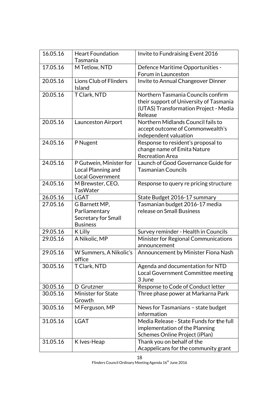| 16.05.16 | <b>Heart Foundation</b><br>Tasmania                                      | Invite to Fundraising Event 2016                                                                                                  |
|----------|--------------------------------------------------------------------------|-----------------------------------------------------------------------------------------------------------------------------------|
| 17.05.16 | M Tetlow, NTD                                                            | Defence Maritime Opportunities -<br>Forum in Launceston                                                                           |
| 20.05.16 | <b>Lions Club of Flinders</b><br>Island                                  | Invite to Annual Changeover Dinner                                                                                                |
| 20.05.16 | T Clark, NTD                                                             | Northern Tasmania Councils confirm<br>their support of University of Tasmania<br>(UTAS) Transformation Project - Media<br>Release |
| 20.05.16 | Launceston Airport                                                       | Northern Midlands Council fails to<br>accept outcome of Commonwealth's<br>independent valuation                                   |
| 24.05.16 | P Nugent                                                                 | Response to resident's proposal to<br>change name of Emita Nature<br><b>Recreation Area</b>                                       |
| 24.05.16 | P Gutwein, Minister for<br>Local Planning and<br><b>Local Government</b> | Launch of Good Governance Guide for<br><b>Tasmanian Councils</b>                                                                  |
| 24.05.16 | M Brewster, CEO,<br><b>TasWater</b>                                      | Response to query re pricing structure                                                                                            |
| 26.05.16 | <b>LGAT</b>                                                              | State Budget 2016-17 summary                                                                                                      |
| 27.05.16 | G Barnett MP,<br>Parliamentary<br>Secretary for Small<br><b>Business</b> | Tasmanian budget 2016-17 media<br>release on Small Business                                                                       |
| 29.05.16 | K Lilly                                                                  | Survey reminder - Health in Councils                                                                                              |
| 29.05.16 | A Nikolic, MP                                                            | Minister for Regional Communications<br>announcement                                                                              |
| 29.05.16 | W Summers, A Nikolic's<br>office                                         | Announcement by Minister Fiona Nash                                                                                               |
| 30.05.16 | T Clark, NTD                                                             | Agenda and documentation for NTD<br>Local Government Committee meeting<br>3 June                                                  |
| 30.05.16 | D Grutzner                                                               | Response to Code of Conduct letter                                                                                                |
| 30.05.16 | <b>Minister for State</b><br>Growth                                      | Three phase power at Markarna Park                                                                                                |
| 30.05.16 | M Ferguson, MP                                                           | News for Tasmanians - state budget<br>information                                                                                 |
| 31.05.16 | <b>LGAT</b>                                                              | Media Release - State Funds for the full<br>implementation of the Planning<br>Schemes Online Project (iPlan)                      |
| 31.05.16 | K Ives-Heap                                                              | Thank you on behalf of the<br>Acappelicans for the community grant                                                                |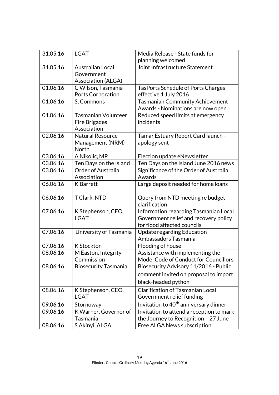| 31.05.16 | <b>LGAT</b>                 | Media Release - State funds for                   |
|----------|-----------------------------|---------------------------------------------------|
|          |                             | planning welcomed                                 |
| 31.05.16 | <b>Australian Local</b>     | Joint Infrastructure Statement                    |
|          | Government                  |                                                   |
|          | <b>Association (ALGA)</b>   |                                                   |
| 01.06.16 | C Wilson, Tasmania          | <b>TasPorts Schedule of Ports Charges</b>         |
|          | <b>Ports Corporation</b>    | effective 1 July 2016                             |
| 01.06.16 | S, Commons                  | <b>Tasmanian Community Achievement</b>            |
|          |                             | Awards - Nominations are now open                 |
| 01.06.16 | <b>Tasmanian Volunteer</b>  | Reduced speed limits at emergency                 |
|          | Fire Brigades               | incidents                                         |
|          | Association                 |                                                   |
| 02.06.16 | <b>Natural Resource</b>     | Tamar Estuary Report Card launch -                |
|          | Management (NRM)            | apology sent                                      |
|          | North                       |                                                   |
| 03.06.16 | A Nikolic, MP               | Election update eNewsletter                       |
| 03.06.16 | Ten Days on the Island      | Ten Days on the Island June 2016 news             |
| 03.06.16 | <b>Order of Australia</b>   | Significance of the Order of Australia            |
|          | Association                 | Awards                                            |
| 06.06.16 | <b>K</b> Barrett            | Large deposit needed for home loans               |
| 06.06.16 | T Clark, NTD                | Query from NTD meeting re budget                  |
|          |                             | clarification                                     |
| 07.06.16 | K Stephenson, CEO,          | Information regarding Tasmanian Local             |
|          | <b>LGAT</b>                 | Government relief and recovery policy             |
|          |                             | for flood affected councils                       |
| 07.06.16 | University of Tasmania      | Update regarding Education                        |
|          |                             | Ambassadors Tasmania                              |
| 07.06.16 | <b>K</b> Stockton           | Flooding of house                                 |
| 08.06.16 | M Easton, Integrity         | Assistance with implementing the                  |
|          | Commission                  | Model Code of Conduct for Councillors             |
| 08.06.16 | <b>Biosecurity Tasmania</b> | Biosecurity Advisory 11/2016 - Public             |
|          |                             | comment invited on proposal to import             |
|          |                             | black-headed python                               |
| 08.06.16 | K Stephenson, CEO,          | <b>Clarification of Tasmanian Local</b>           |
|          | LGAT                        | Government relief funding                         |
| 09.06.16 | Stornoway                   | Invitation to 40 <sup>th</sup> anniversary dinner |
| 09.06.16 | K Warner, Governor of       | Invitation to attend a reception to mark          |
|          | Tasmania                    | the Journey to Recognition - 27 June              |
| 08.06.16 | S Akinyi, ALGA              | Free ALGA News subscription                       |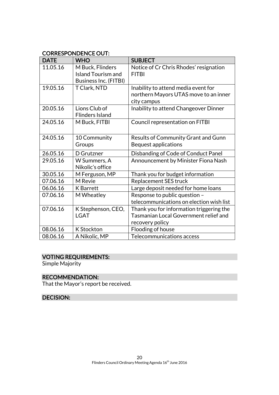### CORRESPONDENCE OUT:

| <b>DATE</b> | <b>WHO</b>                                                                    | <b>SUBJECT</b>                                                                                       |
|-------------|-------------------------------------------------------------------------------|------------------------------------------------------------------------------------------------------|
| 11.05.16    | M Buck, Flinders<br><b>Island Tourism and</b><br><b>Business Inc. (FITBI)</b> | Notice of Cr Chris Rhodes' resignation<br><b>FITBI</b>                                               |
| 19.05.16    | T Clark, NTD                                                                  | Inability to attend media event for<br>northern Mayors UTAS move to an inner<br>city campus          |
| 20.05.16    | Lions Club of<br><b>Flinders Island</b>                                       | Inability to attend Changeover Dinner                                                                |
| 24.05.16    | M Buck, FITBI                                                                 | Council representation on FITBI                                                                      |
| 24.05.16    | 10 Community<br>Groups                                                        | Results of Community Grant and Gunn<br><b>Bequest applications</b>                                   |
| 26.05.16    | D Grutzner                                                                    | Disbanding of Code of Conduct Panel                                                                  |
| 29.05.16    | W Summers, A<br>Nikolic's office                                              | Announcement by Minister Fiona Nash                                                                  |
| 30.05.16    | M Ferguson, MP                                                                | Thank you for budget information                                                                     |
| 07.06.16    | M Revie                                                                       | Replacement SES truck                                                                                |
| 06.06.16    | <b>K</b> Barrett                                                              | Large deposit needed for home loans                                                                  |
| 07.06.16    | M Wheatley                                                                    | Response to public question -<br>telecommunications on election wish list                            |
| 07.06.16    | K Stephenson, CEO,<br><b>LGAT</b>                                             | Thank you for information triggering the<br>Tasmanian Local Government relief and<br>recovery policy |
| 08.06.16    | K Stockton                                                                    | Flooding of house                                                                                    |
| 08.06.16    | A Nikolic, MP                                                                 | Telecommunications access                                                                            |

## VOTING REQUIREMENTS:

Simple Majority

### RECOMMENDATION:

That the Mayor's report be received.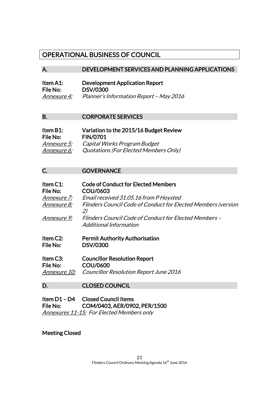### OPERATIONAL BUSINESS OF COUNCIL

### A. DEVELOPMENT SERVICES AND PLANNING APPLICATIONS

| Item A1:    | <b>Development Application Report</b>   |
|-------------|-----------------------------------------|
| File No:    | <b>DSV/0300</b>                         |
| Annexure 4: | Planner's Information Report - May 2016 |

#### B. CORPORATE SERVICES

| Item B1:           | Variation to the 2015/16 Budget Review |
|--------------------|----------------------------------------|
| File No:           | <b>FIN/0701</b>                        |
| <i>Annexure 5:</i> | Capital Works Program Budget           |
| Annexure 6:        | Quotations (For Elected Members Only)  |

C. **GOVERNANCE** 

| Item C1:<br>File No:<br><i>Annexure 7:</i> | <b>Code of Conduct for Elected Members</b><br>COU/0603<br>Email received 31.05.16 from P Hoysted |
|--------------------------------------------|--------------------------------------------------------------------------------------------------|
| <i>Annexure 8:</i>                         | Flinders Council Code of Conduct for Elected Members (version<br>2)                              |
| Annexure 9:                                | Flinders Council Code of Conduct for Elected Members –<br>Additional Information                 |
| ltam (^?*                                  | <b>Permit Authority Authorication</b>                                                            |

- Item C2: Permit Authority Authorisation<br>File No: DSV/0300 DSV/0300
- Item C3: Councillor Resolution Report File No: COU/0600 Annexure 10: Councillor Resolution Report June 2016

### D. CLOSED COUNCIL

Item D1 – D4 Closed Council Items File No: COM/0403, AER/0902, PER/1500 Annexures 11-15: For Elected Members only

### Meeting Closed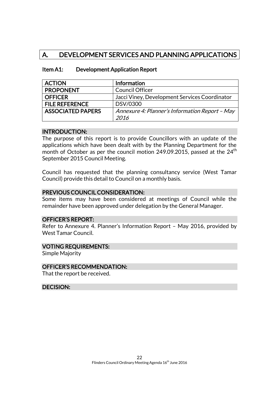# A. DEVELOPMENT SERVICES AND PLANNING APPLICATIONS

| <b>ACTION</b>            | Information                                    |
|--------------------------|------------------------------------------------|
| <b>PROPONENT</b>         | <b>Council Officer</b>                         |
| <b>OFFICER</b>           | Jacci Viney, Development Services Coordinator  |
| <b>FILE REFERENCE</b>    | DSV/0300                                       |
| <b>ASSOCIATED PAPERS</b> | Annexure 4: Planner's Information Report - May |
|                          | 2016                                           |

### Item A1: Development Application Report

#### INTRODUCTION:

The purpose of this report is to provide Councillors with an update of the applications which have been dealt with by the Planning Department for the month of October as per the council motion 249.09.2015, passed at the  $24<sup>th</sup>$ September 2015 Council Meeting.

Council has requested that the planning consultancy service (West Tamar Council) provide this detail to Council on a monthly basis.

### PREVIOUS COUNCIL CONSIDERATION:

Some items may have been considered at meetings of Council while the remainder have been approved under delegation by the General Manager.

### OFFICER'S REPORT:

Refer to Annexure 4. Planner's Information Report – May 2016, provided by West Tamar Council.

### VOTING REQUIREMENTS:

Simple Majority

### OFFICER'S RECOMMENDATION:

That the report be received.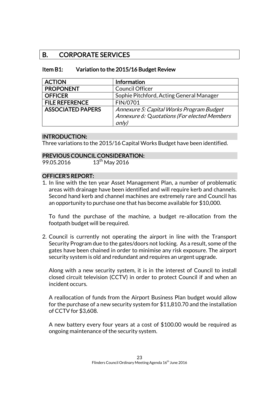### B. CORPORATE SERVICES

| Item B1: | Variation to the 2015/16 Budget Review |
|----------|----------------------------------------|
|----------|----------------------------------------|

| <b>ACTION</b>            | Information                                          |
|--------------------------|------------------------------------------------------|
| <b>PROPONENT</b>         | <b>Council Officer</b>                               |
| <b>OFFICER</b>           | Sophie Pitchford, Acting General Manager             |
| <b>FILE REFERENCE</b>    | FIN/0701                                             |
| <b>ASSOCIATED PAPERS</b> | Annexure 5: Capital Works Program Budget             |
|                          | Annexure 6: Quotations (For elected Members<br>only) |

### INTRODUCTION:

Three variations to the 2015/16 Capital Works Budget have been identified.

### PREVIOUS COUNCIL CONSIDERATION:

99.05.2016  $13^{th}$  May 2016

### OFFICER'S REPORT:

1. In line with the ten year Asset Management Plan, a number of problematic areas with drainage have been identified and will require kerb and channels. Second hand kerb and channel machines are extremely rare and Council has an opportunity to purchase one that has become available for \$10,000.

To fund the purchase of the machine, a budget re-allocation from the footpath budget will be required.

2. Council is currently not operating the airport in line with the Transport Security Program due to the gates/doors not locking. As a result, some of the gates have been chained in order to minimise any risk exposure. The airport security system is old and redundant and requires an urgent upgrade.

Along with a new security system, it is in the interest of Council to install closed circuit television (CCTV) in order to protect Council if and when an incident occurs.

A reallocation of funds from the Airport Business Plan budget would allow for the purchase of a new security system for \$11,810.70 and the installation of CCTV for \$3,608.

A new battery every four years at a cost of \$100.00 would be required as ongoing maintenance of the security system.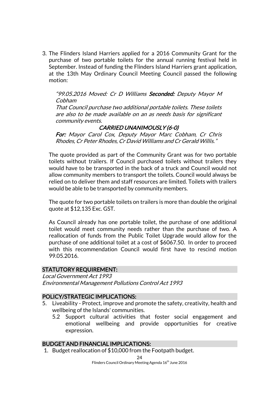3. The Flinders Island Harriers applied for a 2016 Community Grant for the purchase of two portable toilets for the annual running festival held in September. Instead of funding the Flinders Island Harriers grant application, at the 13th May Ordinary Council Meeting Council passed the following motion:

"99.05.2016 Moved: Cr D Williams Seconded: Deputy Mayor M Cobham

That Council purchase two additional portable toilets. These toilets are also to be made available on an as needs basis for significant community events.

### CARRIED UNANIMOUSLY (6-0)

For: Mayor Carol Cox, Deputy Mayor Marc Cobham, Cr Chris Rhodes, Cr Peter Rhodes, Cr David Williams and Cr Gerald Willis."

The quote provided as part of the Community Grant was for two portable toilets without trailers. If Council purchased toilets without trailers they would have to be transported in the back of a truck and Council would not allow community members to transport the toilets. Council would always be relied on to deliver them and staff resources are limited. Toilets with trailers would be able to be transported by community members.

The quote for two portable toilets on trailers is more than double the original quote at \$12,135 Exc. GST.

As Council already has one portable toilet, the purchase of one additional toilet would meet community needs rather than the purchase of two. A reallocation of funds from the Public Toilet Upgrade would allow for the purchase of one additional toilet at a cost of \$6067.50. In order to proceed with this recommendation Council would first have to rescind motion 99.05.2016.

### STATUTORY REQUIREMENT:

Local Government Act 1993 Environmental Management Pollutions Control Act 1993

### POLICY/STRATEGIC IMPLICATIONS:

- 5. Liveability Protect, improve and promote the safety, creativity, health and wellbeing of the Islands' communities.
	- 5.2 Support cultural activities that foster social engagement and emotional wellbeing and provide opportunities for creative expression.

#### BUDGET AND FINANCIAL IMPLICATIONS:

1. Budget reallocation of \$10,000 from the Footpath budget.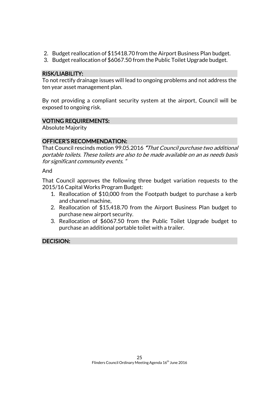- 2. Budget reallocation of \$15418.70 from the Airport Business Plan budget.
- 3. Budget reallocation of \$6067.50 from the Public Toilet Upgrade budget.

### RISK/LIABILITY:

To not rectify drainage issues will lead to ongoing problems and not address the ten year asset management plan.

By not providing a compliant security system at the airport, Council will be exposed to ongoing risk.

### VOTING REQUIREMENTS:

Absolute Majority

### OFFICER'S RECOMMENDATION:

That Council rescinds motion 99.05.2016 "That Council purchase two additional portable toilets. These toilets are also to be made available on an as needs basis for significant community events. "

And

That Council approves the following three budget variation requests to the 2015/16 Capital Works Program Budget:

- 1. Reallocation of \$10,000 from the Footpath budget to purchase a kerb and channel machine,
- 2. Reallocation of \$15,418.70 from the Airport Business Plan budget to purchase new airport security.
- 3. Reallocation of \$6067.50 from the Public Toilet Upgrade budget to purchase an additional portable toilet with a trailer.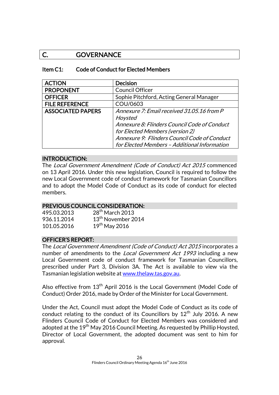### C. GOVERNANCE

### Item C1: Code of Conduct for Elected Members

| <b>ACTION</b>            | <b>Decision</b>                              |
|--------------------------|----------------------------------------------|
| <b>PROPONENT</b>         | <b>Council Officer</b>                       |
| <b>OFFICER</b>           | Sophie Pitchford, Acting General Manager     |
| <b>FILE REFERENCE</b>    | COU/0603                                     |
| <b>ASSOCIATED PAPERS</b> | Annexure 7: Email received 31.05.16 from P   |
|                          | Hoysted                                      |
|                          | Annexure 8: Flinders Council Code of Conduct |
|                          | for Elected Members (version 2)              |
|                          | Annexure 9: Flinders Council Code of Conduct |
|                          | for Elected Members - Additional Information |

### INTRODUCTION:

The Local Government Amendment (Code of Conduct) Act 2015 commenced on 13 April 2016. Under this new legislation, Council is required to follow the new Local Government code of conduct framework for Tasmanian Councillors and to adopt the Model Code of Conduct as its code of conduct for elected members.

### PREVIOUS COUNCIL CONSIDERATION:

| 495.03.2013 | 28 <sup>th</sup> March 2013    |
|-------------|--------------------------------|
| 936.11.2014 | 13 <sup>th</sup> November 2014 |
| 101.05.2016 | $19th$ May 2016                |

### OFFICER'S REPORT:

The Local Government Amendment (Code of Conduct) Act 2015 incorporates a number of amendments to the *Local Government Act 1993* including a new Local Government code of conduct framework for Tasmanian Councillors, prescribed under Part 3, Division 3A. The Act is available to view via the Tasmanian legislation website a[t www.thelaw.tas.gov.au.](http://www.thelaw.tas.gov.au/)

Also effective from 13<sup>th</sup> April 2016 is the Local Government (Model Code of Conduct) Order 2016, made by Order of the Minister for Local Government.

Under the Act, Council must adopt the Model Code of Conduct as its code of conduct relating to the conduct of its Councillors by  $12<sup>th</sup>$  July 2016. A new Flinders Council Code of Conduct for Elected Members was considered and adopted at the 19<sup>th</sup> May 2016 Council Meeting. As requested by Phillip Hoysted, Director of Local Government, the adopted document was sent to him for approval.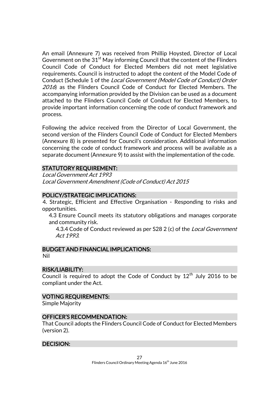An email (Annexure 7) was received from Phillip Hoysted, Director of Local Government on the  $31<sup>st</sup>$  May informing Council that the content of the Flinders Council Code of Conduct for Elected Members did not meet legislative requirements. Council is instructed to adopt the content of the Model Code of Conduct (Schedule 1 of the Local Government (Model Code of Conduct) Order 2016) as the Flinders Council Code of Conduct for Elected Members. The accompanying information provided by the Division can be used as a document attached to the Flinders Council Code of Conduct for Elected Members, to provide important information concerning the code of conduct framework and process.

Following the advice received from the Director of Local Government, the second version of the Flinders Council Code of Conduct for Elected Members (Annexure 8) is presented for Council's consideration. Additional information concerning the code of conduct framework and process will be available as a separate document (Annexure 9) to assist with the implementation of the code.

### STATUTORY REQUIREMENT:

Local Government Act 1993 Local Government Amendment (Code of Conduct) Act 2015

### POLICY/STRATEGIC IMPLICATIONS:

4. Strategic, Efficient and Effective Organisation - Responding to risks and opportunities.

4.3 Ensure Council meets its statutory obligations and manages corporate and community risk.

4.3.4 Code of Conduct reviewed as per S28 2 (c) of the *Local Government* Act 1993.

### BUDGET AND FINANCIAL IMPLICATIONS:

Nil

### RISK/LIABILITY:

Council is required to adopt the Code of Conduct by  $12<sup>th</sup>$  July 2016 to be compliant under the Act.

### VOTING REQUIREMENTS:

Simple Majority

### OFFICER'S RECOMMENDATION:

That Council adopts the Flinders Council Code of Conduct for Elected Members (version 2).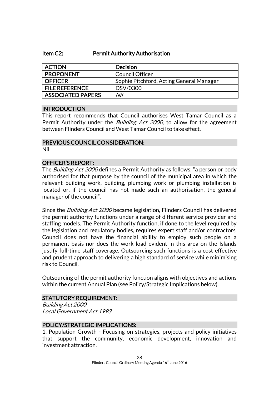### Item C2: Permit Authority Authorisation

| <b>ACTION</b>            | <b>Decision</b>                          |
|--------------------------|------------------------------------------|
| <b>PROPONENT</b>         | <b>Council Officer</b>                   |
| <b>OFFICER</b>           | Sophie Pitchford, Acting General Manager |
| <b>FILE REFERENCE</b>    | DSV/0300                                 |
| <b>ASSOCIATED PAPERS</b> | Nil                                      |

### INTRODUCTION

This report recommends that Council authorises West Tamar Council as a Permit Authority under the *Building Act 2000*, to allow for the agreement between Flinders Council and West Tamar Council to take effect.

#### PREVIOUS COUNCIL CONSIDERATION: Nil

#### OFFICER'S REPORT:

The *Building Act 2000* defines a Permit Authority as follows: "a person or body authorised for that purpose by the council of the municipal area in which the relevant building work, building, plumbing work or plumbing installation is located or, if the council has not made such an authorisation, the general manager of the council".

Since the *Building Act 2000* became legislation, Flinders Council has delivered the permit authority functions under a range of different service provider and staffing models. The Permit Authority function, if done to the level required by the legislation and regulatory bodies, requires expert staff and/or contractors. Council does not have the financial ability to employ such people on a permanent basis nor does the work load evident in this area on the Islands justify full-time staff coverage. Outsourcing such functions is a cost effective and prudent approach to delivering a high standard of service while minimising risk to Council.

Outsourcing of the permit authority function aligns with objectives and actions within the current Annual Plan (see Policy/Strategic Implications below).

### STATUTORY REQUIREMENT:

Building Act 2000 Local Government Act 1993

### POLICY/STRATEGIC IMPLICATIONS:

1. Population Growth - Focusing on strategies, projects and policy initiatives that support the community, economic development, innovation and investment attraction.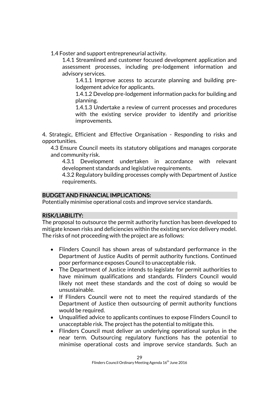1.4 Foster and support entrepreneurial activity.

1.4.1 Streamlined and customer focused development application and assessment processes, including pre-lodgement information and advisory services.

1.4.1.1 Improve access to accurate planning and building prelodgement advice for applicants.

1.4.1.2 Develop pre-lodgement information packs for building and planning.

1.4.1.3 Undertake a review of current processes and procedures with the existing service provider to identify and prioritise improvements.

4. Strategic, Efficient and Effective Organisation - Responding to risks and opportunities.

4.3 Ensure Council meets its statutory obligations and manages corporate and community risk.

4.3.1 Development undertaken in accordance with relevant development standards and legislative requirements.

4.3.2 Regulatory building processes comply with Department of Justice requirements.

### BUDGET AND FINANCIAL IMPLICATIONS:

Potentially minimise operational costs and improve service standards.

### RISK/LIABILITY:

The proposal to outsource the permit authority function has been developed to mitigate known risks and deficiencies within the existing service delivery model. The risks of not proceeding with the project are as follows:

- Flinders Council has shown areas of substandard performance in the Department of Justice Audits of permit authority functions. Continued poor performance exposes Council to unacceptable risk.
- The Department of Justice intends to legislate for permit authorities to have minimum qualifications and standards. Flinders Council would likely not meet these standards and the cost of doing so would be unsustainable.
- If Flinders Council were not to meet the required standards of the Department of Justice then outsourcing of permit authority functions would be required.
- Unqualified advice to applicants continues to expose Flinders Council to unacceptable risk. The project has the potential to mitigate this.
- Flinders Council must deliver an underlying operational surplus in the near term. Outsourcing regulatory functions has the potential to minimise operational costs and improve service standards. Such an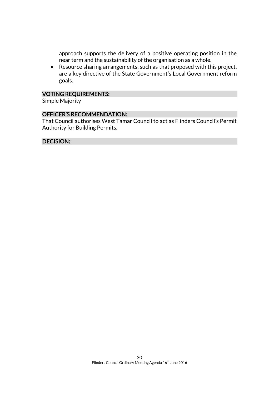approach supports the delivery of a positive operating position in the near term and the sustainability of the organisation as a whole.

 Resource sharing arrangements, such as that proposed with this project, are a key directive of the State Government's Local Government reform goals.

### VOTING REQUIREMENTS:

Simple Majority

### OFFICER'S RECOMMENDATION:

That Council authorises West Tamar Council to act as Flinders Council's Permit Authority for Building Permits.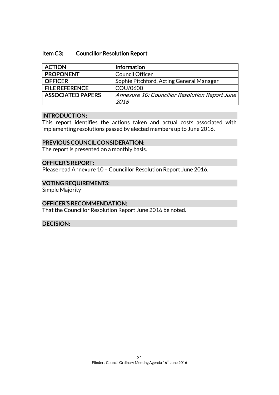#### Item C3: Councillor Resolution Report

| <b>ACTION</b>            | Information                                    |
|--------------------------|------------------------------------------------|
| <b>PROPONENT</b>         | <b>Council Officer</b>                         |
| <b>OFFICER</b>           | Sophie Pitchford, Acting General Manager       |
| <b>FILE REFERENCE</b>    | COU/0600                                       |
| <b>ASSOCIATED PAPERS</b> | Annexure 10: Councillor Resolution Report June |
|                          | 2016                                           |

#### INTRODUCTION:

This report identifies the actions taken and actual costs associated with implementing resolutions passed by elected members up to June 2016.

### PREVIOUS COUNCIL CONSIDERATION:

The report is presented on a monthly basis.

### OFFICER'S REPORT:

Please read Annexure 10 – Councillor Resolution Report June 2016.

### VOTING REQUIREMENTS:

Simple Majority

### OFFICER'S RECOMMENDATION:

That the Councillor Resolution Report June 2016 be noted.